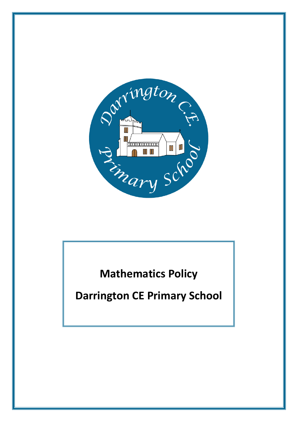

**Mathematics Policy**

**Darrington CE Primary School**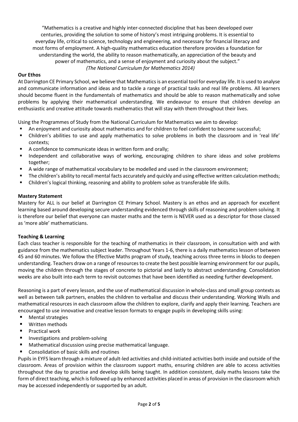"Mathematics is a creative and highly inter-connected discipline that has been developed over centuries, providing the solution to some of history's most intriguing problems. It is essential to everyday life, critical to science, technology and engineering, and necessary for financial literacy and most forms of employment. A high-quality mathematics education therefore provides a foundation for understanding the world, the ability to reason mathematically, an appreciation of the beauty and power of mathematics, and a sense of enjoyment and curiosity about the subject." *(The National Curriculum for Mathematics 2014)*

# **Our Ethos**

At Darrington CE Primary School, we believe that Mathematics is an essential tool for everyday life. It is used to analyse and communicate information and ideas and to tackle a range of practical tasks and real life problems. All learners should become fluent in the fundamentals of mathematics and should be able to reason mathematically and solve problems by applying their mathematical understanding. We endeavour to ensure that children develop an enthusiastic and creative attitude towards mathematics that will stay with them throughout their lives.

Using the Programmes of Study from the National Curriculum for Mathematics we aim to develop:

- An enjoyment and curiosity about mathematics and for children to feel confident to become successful;
- Children's abilities to use and apply mathematics to solve problems in both the classroom and in 'real life' contexts;
- A confidence to communicate ideas in written form and orally;
- Independent and collaborative ways of working, encouraging children to share ideas and solve problems together;
- A wide range of mathematical vocabulary to be modelled and used in the classroom environment;
- The children's ability to recall mental facts accurately and quickly and using effective written calculation methods;
- Children's logical thinking, reasoning and ability to problem solve as transferable life skills.

# **Mastery Statement**

Mastery for ALL is our belief at Darrington CE Primary School. Mastery is an ethos and an approach for excellent learning based around developing secure understanding evidenced through skills of reasoning and problem solving. It is therefore our belief that everyone can master maths and the term is NEVER used as a descriptor for those classed as 'more able' mathematicians.

# **Teaching & Learning**

Each class teacher is responsible for the teaching of mathematics in their classroom, in consultation with and with guidance from the mathematics subject leader. Throughout Years 1-6, there is a daily mathematics lesson of between 45 and 60 minutes. We follow the Effective Maths program of study, teaching across three terms in blocks to deepen understanding. Teachers draw on a range of resources to create the best possible learning environment for our pupils, moving the children through the stages of concrete to pictorial and lastly to abstract understanding. Consolidation weeks are also built into each term to revisit outcomes that have been identified as needing further development.

Reasoning is a part of every lesson, and the use of mathematical discussion in whole-class and small group contexts as well as between talk partners, enables the children to verbalise and discuss their understanding. Working Walls and mathematical resources in each classroom allow the children to explore, clarify and apply their learning. Teachers are encouraged to use innovative and creative lesson formats to engage pupils in developing skills using:

- Mental strategies
- **U** Written methods
- Practical work
- **Investigations and problem-solving**
- Mathematical discussion using precise mathematical language.
- Consolidation of basic skills and routines

Pupils in EYFS learn through a mixture of adult-led activities and child-initiated activities both inside and outside of the classroom. Areas of provision within the classroom support maths, ensuring children are able to access activities throughout the day to practise and develop skills being taught. In addition consistent, daily maths lessons take the form of direct teaching, which is followed up by enhanced activities placed in areas of provision in the classroom which may be accessed independently or supported by an adult.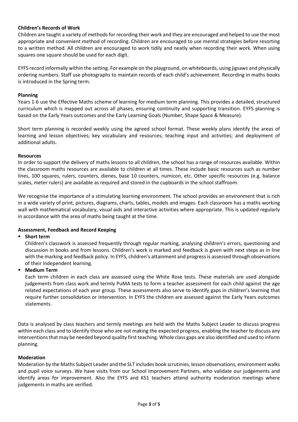### **Children's Records of Work**

Children are taught a variety of methods for recording their work and they are encouraged and helped to use the most appropriate and convenient method of recording. Children are encouraged to use mental strategies before resorting to a written method. All children are encouraged to work tidily and neatly when recording their work. When using squares one square should be used for each digit.

EYFS record informally within the setting. For example on the playground, on whiteboards, using jigsaws and physically ordering numbers. Staff use photographs to maintain records of each child's achievement. Recording in maths books is introduced in the Spring term.

#### **Planning**

Years 1-6 use the Effective Maths scheme of learning for medium term planning. This provides a detailed, structured curriculum which is mapped out across all phases, ensuring continuity and supporting transition. EYFS planning is based on the Early Years outcomes and the Early Learning Goals (Number, Shape Space & Measure).

Short term planning is recorded weekly using the agreed school format. These weekly plans identify the areas of learning and lesson objectives; key vocabulary and resources; teaching input and activities; and deployment of additional adults.

#### **Resources**

In order to support the delivery of maths lessons to all children, the school has a range of resources available. Within the classroom maths resources are available to children at all times. These include basic resources such as number lines, 100 squares, rulers, counters, dienes, base 10 counters, numicon, etc. Other specific resources (e.g. balance scales, meter rulers) are available as required and stored in the cupboards in the school staffroom.

We recognise the importance of a stimulating learning environment. The school provides an environment that is rich in a wide variety of print, pictures, diagrams, charts, tables, models and images. Each classroom has a maths working wall with mathematical vocabulary, visual aids and interactive activities where appropriate. This is updated regularly in accordance with the area of maths being taught at the time.

#### **Assessment, Feedback and Record Keeping**

#### **Short term**

Children's classwork is assessed frequently through regular marking, analysing children's errors, questioning and discussion in books and from lessons. Children's work is marked and feedback is given with next steps as in line with the marking and feedback policy. In EYFS, children's attainment and progress is assessed through observations of their independent learning.

#### **Medium Term**

Each term children in each class are assessed using the White Rose tests. These materials are used alongside judgements from class work and termly PuMA tests to form a teacher assessment for each child against the age related expectations of each year group. These assessments also serve to identify gaps in children's learning that require further consolidation or intervention. In EYFS the children are assessed against the Early Years outcomes statements.

Data is analysed by class teachers and termly meetings are held with the Maths Subject Leader to discuss progress within each class and to identify those who are not making the expected progress, enabling the teacher to discuss any interventions that may be needed beyond quality first teaching. Whole class gaps are also identified and used to inform planning.

#### **Moderation**

Moderation by the Maths Subject Leader and the SLT includes book scrutinies, lesson observations, environment walks and pupil voice surveys. We have visits from our School Improvement Partners, who validate our judgements and identify areas for improvement. Also the EYFS and KS1 teachers attend authority moderation meetings where judgements in maths are verified.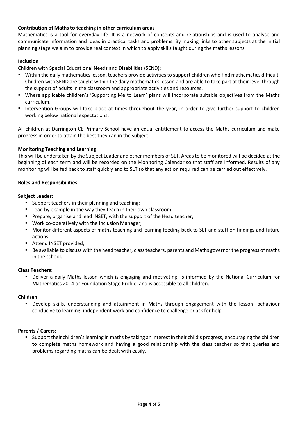# **Contribution of Maths to teaching in other curriculum areas**

Mathematics is a tool for everyday life. It is a network of concepts and relationships and is used to analyse and communicate information and ideas in practical tasks and problems. By making links to other subjects at the initial planning stage we aim to provide real context in which to apply skills taught during the maths lessons.

### **Inclusion**

Children with Special Educational Needs and Disabilities (SEND):

- Within the daily mathematics lesson, teachers provide activities to support children who find mathematics difficult. Children with SEND are taught within the daily mathematics lesson and are able to take part at their level through the support of adults in the classroom and appropriate activities and resources.
- Where applicable children's 'Supporting Me to Learn' plans will incorporate suitable objectives from the Maths curriculum.
- Intervention Groups will take place at times throughout the year, in order to give further support to children working below national expectations.

All children at Darrington CE Primary School have an equal entitlement to access the Maths curriculum and make progress in order to attain the best they can in the subject.

#### **Monitoring Teaching and Learning**

This will be undertaken by the Subject Leader and other members of SLT. Areas to be monitored will be decided at the beginning of each term and will be recorded on the Monitoring Calendar so that staff are informed. Results of any monitoring will be fed back to staff quickly and to SLT so that any action required can be carried out effectively.

#### **Roles and Responsibilities**

#### **Subject Leader:**

- **Support teachers in their planning and teaching;**
- **E** Lead by example in the way they teach in their own classroom;
- **Prepare, organise and lead INSET, with the support of the Head teacher;**
- **Work co-operatively with the Inclusion Manager;**
- Monitor different aspects of maths teaching and learning feeding back to SLT and staff on findings and future actions.
- Attend INSET provided;
- Be available to discuss with the head teacher, class teachers, parents and Maths governor the progress of maths in the school.

#### **Class Teachers:**

 Deliver a daily Maths lesson which is engaging and motivating, is informed by the National Curriculum for Mathematics 2014 or Foundation Stage Profile, and is accessible to all children.

#### **Children:**

 Develop skills, understanding and attainment in Maths through engagement with the lesson, behaviour conducive to learning, independent work and confidence to challenge or ask for help.

#### **Parents / Carers:**

 Support their children's learning in maths by taking an interest in their child's progress, encouraging the children to complete maths homework and having a good relationship with the class teacher so that queries and problems regarding maths can be dealt with easily.